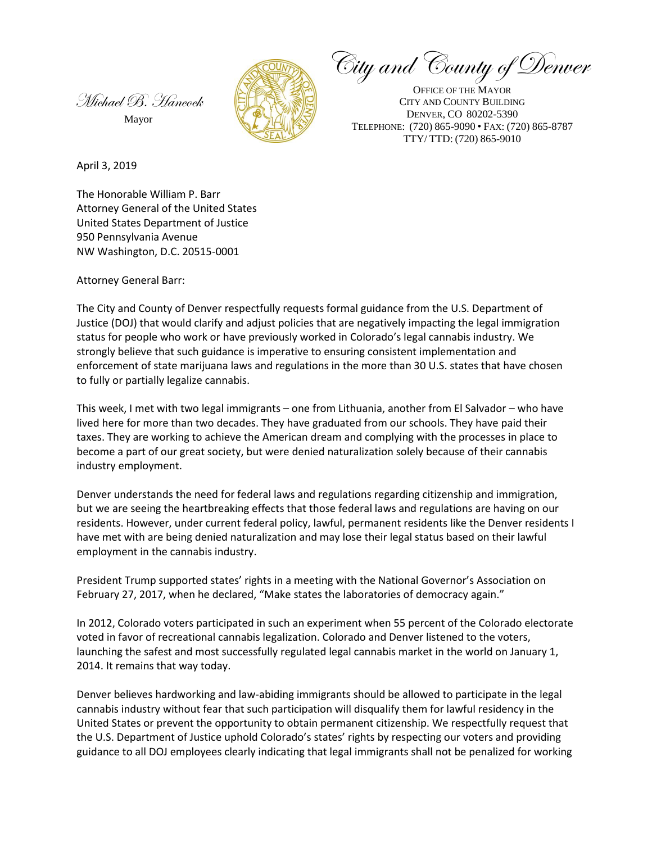Michael B. Hancock

Mayor



City and County of Denver

OFFICE OF THE MAYOR CITY AND COUNTY BUILDING DENVER, CO 80202-5390 TELEPHONE: (720) 865-9090 • FAX: (720) 865-8787 TTY/ TTD: (720) 865-9010

April 3, 2019

The Honorable William P. Barr Attorney General of the United States United States Department of Justice 950 Pennsylvania Avenue NW Washington, D.C. 20515-0001

Attorney General Barr:

The City and County of Denver respectfully requests formal guidance from the U.S. Department of Justice (DOJ) that would clarify and adjust policies that are negatively impacting the legal immigration status for people who work or have previously worked in Colorado's legal cannabis industry. We strongly believe that such guidance is imperative to ensuring consistent implementation and enforcement of state marijuana laws and regulations in the more than 30 U.S. states that have chosen to fully or partially legalize cannabis.

This week, I met with two legal immigrants – one from Lithuania, another from El Salvador – who have lived here for more than two decades. They have graduated from our schools. They have paid their taxes. They are working to achieve the American dream and complying with the processes in place to become a part of our great society, but were denied naturalization solely because of their cannabis industry employment.

Denver understands the need for federal laws and regulations regarding citizenship and immigration, but we are seeing the heartbreaking effects that those federal laws and regulations are having on our residents. However, under current federal policy, lawful, permanent residents like the Denver residents I have met with are being denied naturalization and may lose their legal status based on their lawful employment in the cannabis industry.

President Trump supported states' rights in a meeting with the National Governor's Association on February 27, 2017, when he declared, "Make states the laboratories of democracy again."

In 2012, Colorado voters participated in such an experiment when 55 percent of the Colorado electorate voted in favor of recreational cannabis legalization. Colorado and Denver listened to the voters, launching the safest and most successfully regulated legal cannabis market in the world on January 1, 2014. It remains that way today.

Denver believes hardworking and law-abiding immigrants should be allowed to participate in the legal cannabis industry without fear that such participation will disqualify them for lawful residency in the United States or prevent the opportunity to obtain permanent citizenship. We respectfully request that the U.S. Department of Justice uphold Colorado's states' rights by respecting our voters and providing guidance to all DOJ employees clearly indicating that legal immigrants shall not be penalized for working